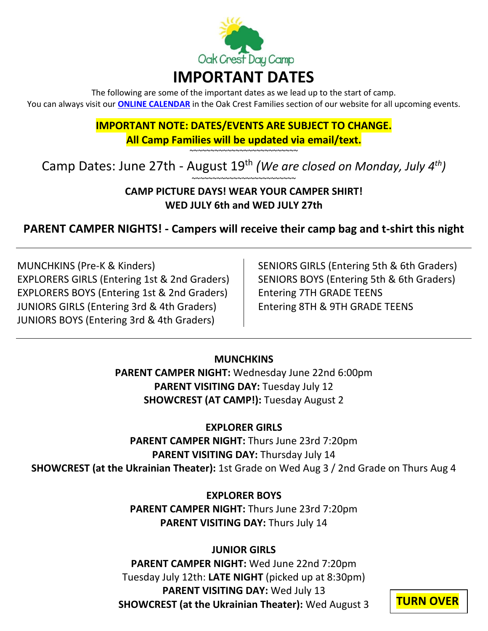

The following are some of the important dates as we lead up to the start of camp. You can always visit our **[ONLINE CALENDAR](https://www.oakcrestdaycamp.com/families/calendar/)** in the Oak Crest Families section of our website for all upcoming events.

# **IMPORTANT NOTE: DATES/EVENTS ARE SUBJECT TO CHANGE. All Camp Families will be updated via email/text.**

~~~~~~~~~~~~~~~~~~~~~~~~~<br>~

# Camp Dates: June 27th - August 19<sup>th</sup> (We are closed on Monday, July 4<sup>th</sup>) ~~~~~~~~~~~~~~~~~~~~~~~~<br>~

## **CAMP PICTURE DAYS! WEAR YOUR CAMPER SHIRT! WED JULY 6th and WED JULY 27th**

# **PARENT CAMPER NIGHTS! - Campers will receive their camp bag and t-shirt this night**

MUNCHKINS (Pre-K & Kinders) EXPLORERS GIRLS (Entering 1st & 2nd Graders) EXPLORERS BOYS (Entering 1st & 2nd Graders) JUNIORS GIRLS (Entering 3rd & 4th Graders) JUNIORS BOYS (Entering 3rd & 4th Graders)

SENIORS GIRLS (Entering 5th & 6th Graders) SENIORS BOYS (Entering 5th & 6th Graders) Entering 7TH GRADE TEENS Entering 8TH & 9TH GRADE TEENS

## **MUNCHKINS**

**PARENT CAMPER NIGHT:** Wednesday June 22nd 6:00pm **PARENT VISITING DAY: Tuesday July 12 SHOWCREST (AT CAMP!):** Tuesday August 2

## **EXPLORER GIRLS**

**PARENT CAMPER NIGHT:** Thurs June 23rd 7:20pm **PARENT VISITING DAY:** Thursday July 14 **SHOWCREST (at the Ukrainian Theater):** 1st Grade on Wed Aug 3 / 2nd Grade on Thurs Aug 4

# **EXPLORER BOYS**

**PARENT CAMPER NIGHT:** Thurs June 23rd 7:20pm **PARENT VISITING DAY:** Thurs July 14

## **JUNIOR GIRLS**

**PARENT CAMPER NIGHT:** Wed June 22nd 7:20pm Tuesday July 12th: **LATE NIGHT** (picked up at 8:30pm) **PARENT VISITING DAY:** Wed July 13 **SHOWCREST (at the Ukrainian Theater):** Wed August 3 **TURN OVER**